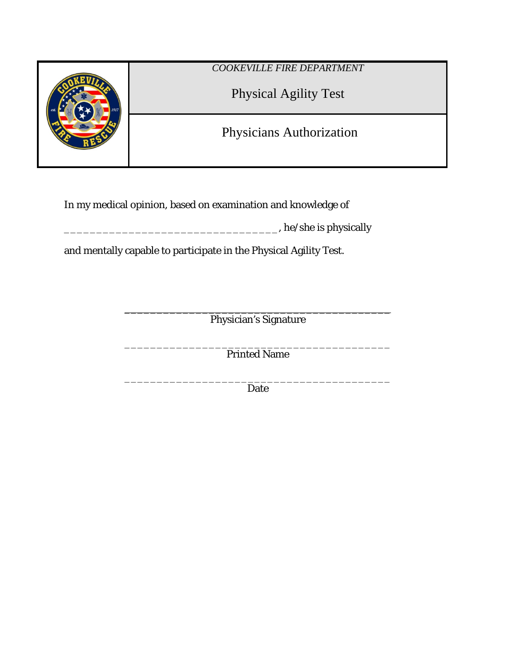

In my medical opinion, based on examination and knowledge of

\_\_\_\_\_\_\_\_\_\_\_\_\_\_\_\_\_\_\_\_\_\_\_\_\_\_\_\_\_\_\_\_\_, he/she is physically

and mentally capable to participate in the Physical Agility Test.

 $\frac{1}{2}$  , and the set of the set of the set of the set of the set of the set of the set of the set of the set of the set of the set of the set of the set of the set of the set of the set of the set of the set of the set Physician's Signature

\_\_\_\_\_\_\_\_\_\_\_\_\_\_\_\_\_\_\_\_\_\_\_\_\_\_\_\_\_\_\_\_\_\_\_\_\_\_\_\_\_ Printed Name

\_\_\_\_\_\_\_\_\_\_\_\_\_\_\_\_\_\_\_\_\_\_\_\_\_\_\_\_\_\_\_\_\_\_\_\_\_\_\_\_\_ Date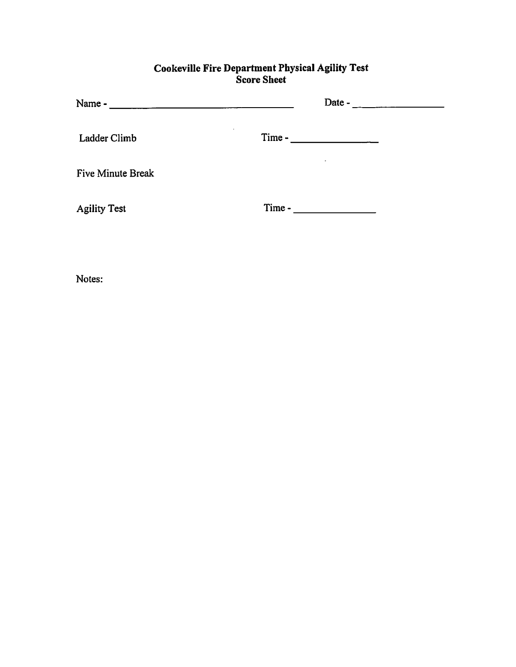# **Cookeville Fire Department Physical Agility Test**<br>Score Sheet

| Name -<br>and the second control of the second control of the second second control of the second second second second second second second second second second second second second second second second second second second second s | Date -   |  |
|------------------------------------------------------------------------------------------------------------------------------------------------------------------------------------------------------------------------------------------|----------|--|
| Ladder Climb                                                                                                                                                                                                                             | $Time -$ |  |
| <b>Five Minute Break</b>                                                                                                                                                                                                                 |          |  |
| <b>Agility Test</b>                                                                                                                                                                                                                      | Time -   |  |
|                                                                                                                                                                                                                                          |          |  |

Notes: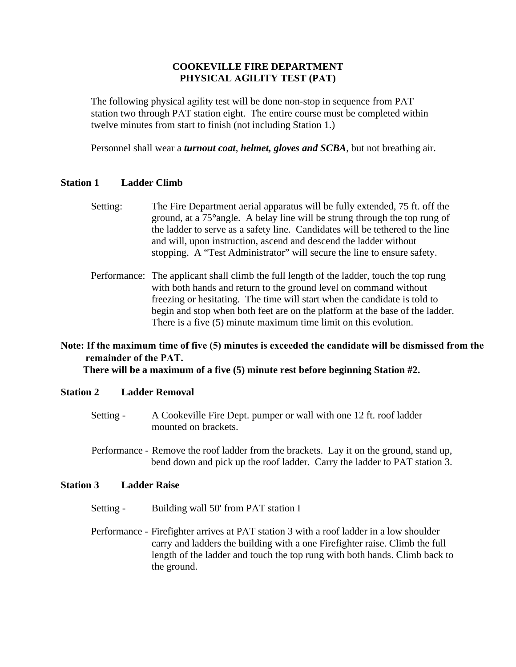# **COOKEVILLE FIRE DEPARTMENT PHYSICAL AGILITY TEST (PAT)**

The following physical agility test will be done non-stop in sequence from PAT station two through PAT station eight. The entire course must be completed within twelve minutes from start to finish (not including Station 1.)

Personnel shall wear a *turnout coat*, *helmet, gloves and SCBA*, but not breathing air.

## **Station 1 Ladder Climb**

- Setting: The Fire Department aerial apparatus will be fully extended, 75 ft. off the ground, at a 75°angle. A belay line will be strung through the top rung of the ladder to serve as a safety line. Candidates will be tethered to the line and will, upon instruction, ascend and descend the ladder without stopping. A "Test Administrator" will secure the line to ensure safety.
- Performance: The applicant shall climb the full length of the ladder, touch the top rung with both hands and return to the ground level on command without freezing or hesitating. The time will start when the candidate is told to begin and stop when both feet are on the platform at the base of the ladder. There is a five (5) minute maximum time limit on this evolution.

# **Note: If the maximum time of five (5) minutes is exceeded the candidate will be dismissed from the remainder of the PAT.**

 **There will be a maximum of a five (5) minute rest before beginning Station #2.** 

#### **Station 2 Ladder Removal**

- Setting A Cookeville Fire Dept. pumper or wall with one 12 ft. roof ladder mounted on brackets.
- Performance Remove the roof ladder from the brackets. Lay it on the ground, stand up, bend down and pick up the roof ladder. Carry the ladder to PAT station 3.

#### **Station 3 Ladder Raise**

- Setting Building wall 50' from PAT station I
- Performance Firefighter arrives at PAT station 3 with a roof ladder in a low shoulder carry and ladders the building with a one Firefighter raise. Climb the full length of the ladder and touch the top rung with both hands. Climb back to the ground.